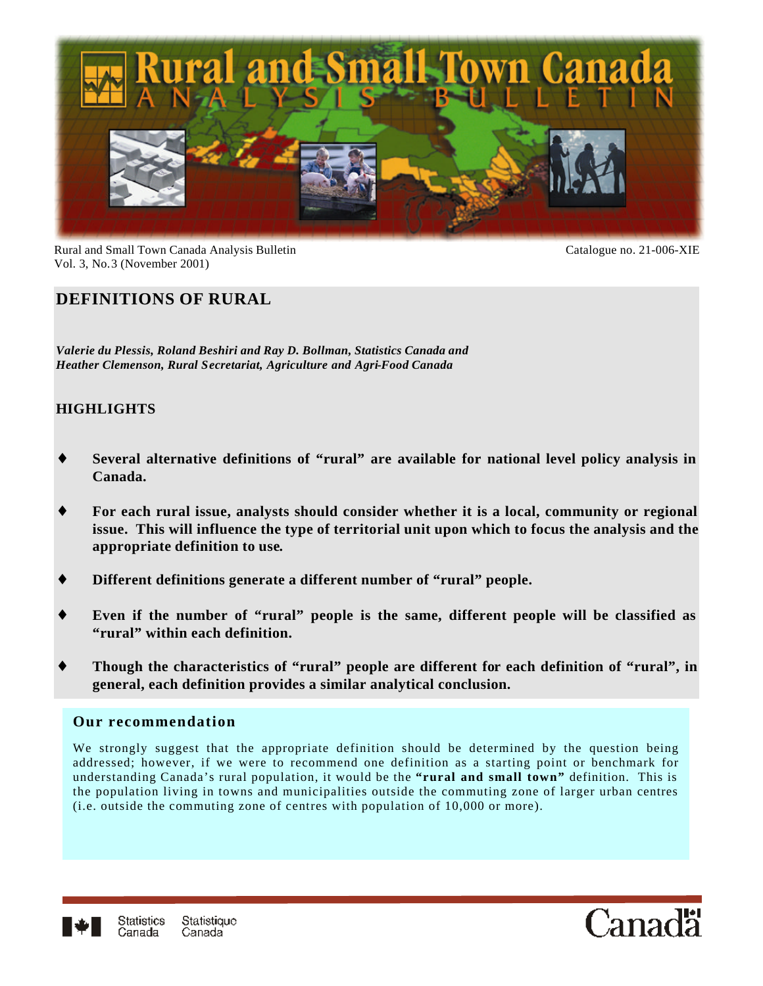

Rural and Small Town Canada Analysis Bulletin Catalogue no. 21-006-XIE Vol. 3, No.3 (November 2001)

# **DEFINITIONS OF RURAL**

*Valerie du Plessis, Roland Beshiri and Ray D. Bollman, Statistics Canada and Heather Clemenson, Rural Secretariat, Agriculture and Agri-Food Canada*

## **HIGHLIGHTS**

- Several alternative definitions of "rural" are available for national level policy analysis in **Canada.**
- For each rural issue, analysts should consider whether it is a local, community or regional **issue. This will influence the type of territorial unit upon which to focus the analysis and the appropriate definition to use.**
- ♦ **Different definitions generate a different number of "rural" people.**
- Even if the number of "rural" people is the same, different people will be classified as **"rural" within each definition.**
- Though the characteristics of "rural" people are different for each definition of "rural", in **general, each definition provides a similar analytical conclusion.**

#### **Our recommendation**

We strongly suggest that the appropriate definition should be determined by the question being addressed; however, if we were to recommend one definition as a starting point or benchmark for understanding Canada's rural population, it would be the **"rural and small town"** definition. This is the population living in towns and municipalities outside the commuting zone of larger urban centres (i.e. outside the commuting zone of centres with population of 10,000 or more).



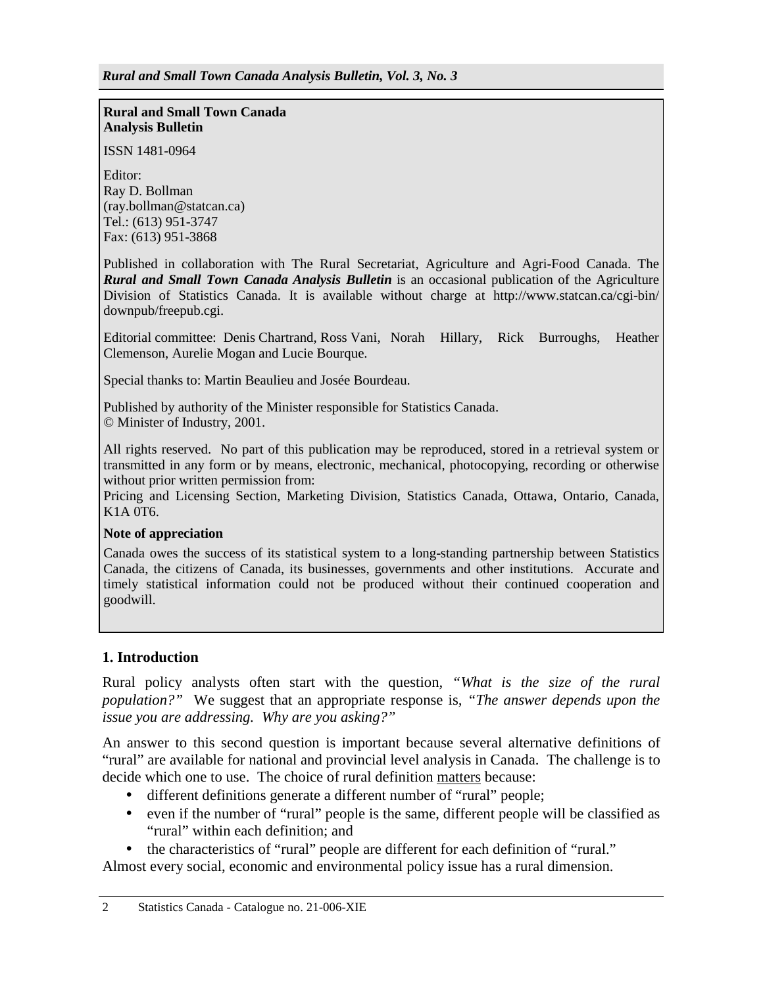#### **Rural and Small Town Canada Analysis Bulletin**

ISSN 1481-0964

Editor: Ray D. Bollman (ray.bollman@statcan.ca) Tel.: (613) 951-3747 Fax: (613) 951-3868

Published in collaboration with The Rural Secretariat, Agriculture and Agri-Food Canada. The *Rural and Small Town Canada Analysis Bulletin* is an occasional publication of the Agriculture Division of Statistics Canada. It is available without charge at http://www.statcan.ca/cgi-bin/ downpub/freepub.cgi.

Editorial committee: Denis Chartrand, Ross Vani, Norah Hillary, Rick Burroughs, Heather Clemenson, Aurelie Mogan and Lucie Bourque.

Special thanks to: Martin Beaulieu and Josée Bourdeau.

Published by authority of the Minister responsible for Statistics Canada. © Minister of Industry, 2001.

All rights reserved. No part of this publication may be reproduced, stored in a retrieval system or transmitted in any form or by means, electronic, mechanical, photocopying, recording or otherwise without prior written permission from:

Pricing and Licensing Section, Marketing Division, Statistics Canada, Ottawa, Ontario, Canada, K1A 0T6.

#### **Note of appreciation**

Canada owes the success of its statistical system to a long-standing partnership between Statistics Canada, the citizens of Canada, its businesses, governments and other institutions. Accurate and timely statistical information could not be produced without their continued cooperation and goodwill.

## **1. Introduction**

Rural policy analysts often start with the question*, "What is the size of the rural population?"* We suggest that an appropriate response is*, "The answer depends upon the issue you are addressing. Why are you asking?"*

An answer to this second question is important because several alternative definitions of "rural" are available for national and provincial level analysis in Canada. The challenge is to decide which one to use. The choice of rural definition matters because:

- different definitions generate a different number of "rural" people;
- even if the number of "rural" people is the same, different people will be classified as "rural" within each definition; and

• the characteristics of "rural" people are different for each definition of "rural."

Almost every social, economic and environmental policy issue has a rural dimension.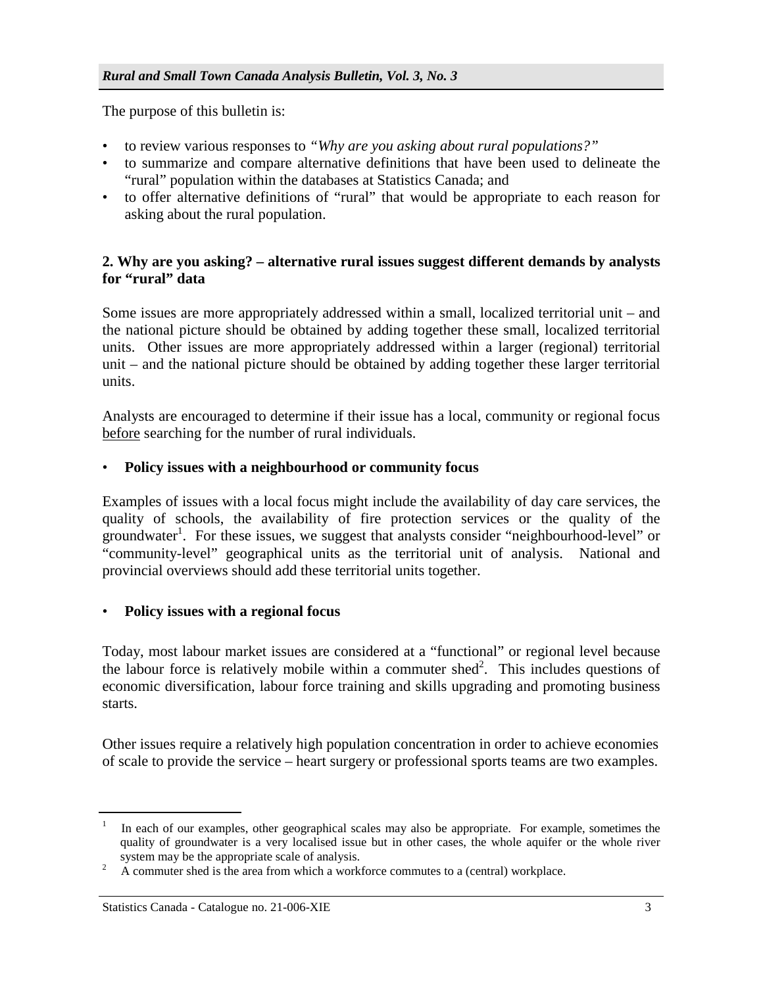The purpose of this bulletin is:

- to review various responses to *"Why are you asking about rural populations?"*
- to summarize and compare alternative definitions that have been used to delineate the "rural" population within the databases at Statistics Canada; and
- to offer alternative definitions of "rural" that would be appropriate to each reason for asking about the rural population.

## **2. Why are you asking? – alternative rural issues suggest different demands by analysts for "rural" data**

Some issues are more appropriately addressed within a small, localized territorial unit – and the national picture should be obtained by adding together these small, localized territorial units. Other issues are more appropriately addressed within a larger (regional) territorial unit – and the national picture should be obtained by adding together these larger territorial units.

Analysts are encouraged to determine if their issue has a local, community or regional focus before searching for the number of rural individuals.

#### • **Policy issues with a neighbourhood or community focus**

Examples of issues with a local focus might include the availability of day care services, the quality of schools, the availability of fire protection services or the quality of the groundwater<sup>1</sup>. For these issues, we suggest that analysts consider "neighbourhood-level" or "community-level" geographical units as the territorial unit of analysis. National and provincial overviews should add these territorial units together.

## • **Policy issues with a regional focus**

Today, most labour market issues are considered at a "functional" or regional level because the labour force is relatively mobile within a commuter shed<sup>2</sup>. This includes questions of economic diversification, labour force training and skills upgrading and promoting business starts.

Other issues require a relatively high population concentration in order to achieve economies of scale to provide the service – heart surgery or professional sports teams are two examples.

 $1$  In each of our examples, other geographical scales may also be appropriate. For example, sometimes the quality of groundwater is a very localised issue but in other cases, the whole aquifer or the whole river system may be the appropriate scale of analysis.<br> $\frac{2}{3}$  A commuter shed is the area from which a work

<sup>2</sup> A commuter shed is the area from which a workforce commutes to a (central) workplace.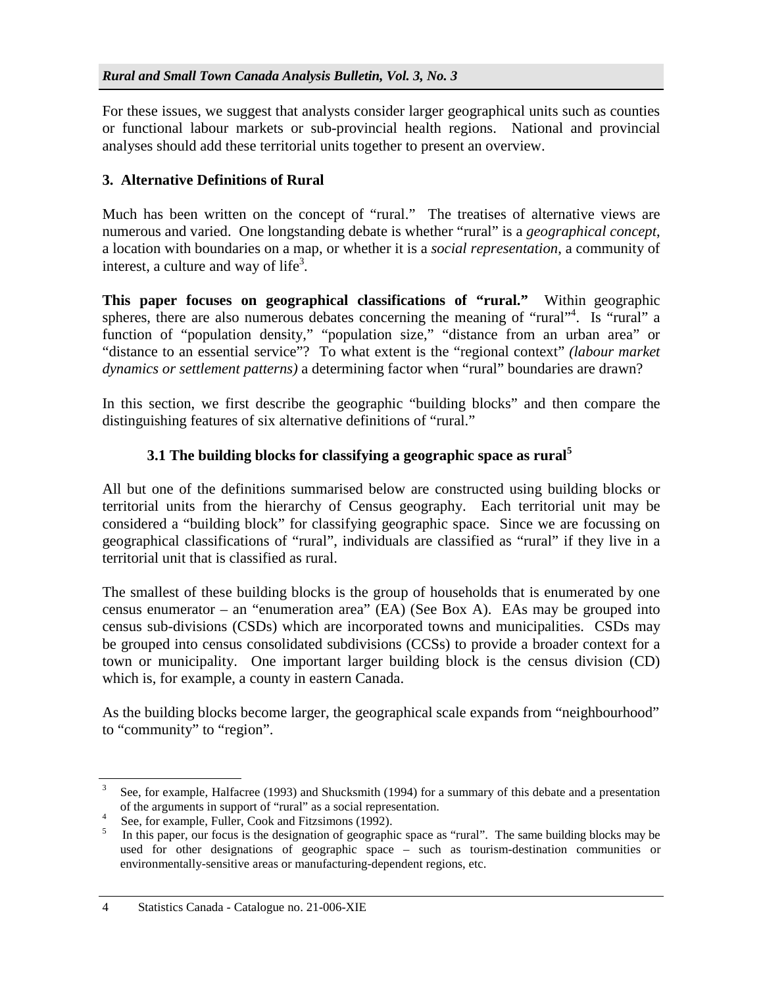For these issues, we suggest that analysts consider larger geographical units such as counties or functional labour markets or sub-provincial health regions. National and provincial analyses should add these territorial units together to present an overview.

#### **3. Alternative Definitions of Rural**

Much has been written on the concept of "rural." The treatises of alternative views are numerous and varied. One longstanding debate is whether "rural" is a *geographical concept*, a location with boundaries on a map, or whether it is a *social representation*, a community of interest, a culture and way of life<sup>3</sup>.

**This paper focuses on geographical classifications of "rural."** Within geographic spheres, there are also numerous debates concerning the meaning of "rural"<sup>4</sup>. Is "rural" a function of "population density," "population size," "distance from an urban area" or "distance to an essential service"? To what extent is the "regional context" *(labour market dynamics or settlement patterns)* a determining factor when "rural" boundaries are drawn?

In this section, we first describe the geographic "building blocks" and then compare the distinguishing features of six alternative definitions of "rural."

## **3.1 The building blocks for classifying a geographic space as rural<sup>5</sup>**

All but one of the definitions summarised below are constructed using building blocks or territorial units from the hierarchy of Census geography. Each territorial unit may be considered a "building block" for classifying geographic space. Since we are focussing on geographical classifications of "rural", individuals are classified as "rural" if they live in a territorial unit that is classified as rural.

The smallest of these building blocks is the group of households that is enumerated by one census enumerator – an "enumeration area" (EA) (See Box A). EAs may be grouped into census sub-divisions (CSDs) which are incorporated towns and municipalities. CSDs may be grouped into census consolidated subdivisions (CCSs) to provide a broader context for a town or municipality. One important larger building block is the census division (CD) which is, for example, a county in eastern Canada.

As the building blocks become larger, the geographical scale expands from "neighbourhood" to "community" to "region".

<sup>3</sup> See, for example, Halfacree (1993) and Shucksmith (1994) for a summary of this debate and a presentation of the arguments in support of "rural" as a social representation.<br><sup>4</sup> See for example Fuller Cook and Fitzgimore (1002).

See, for example, Fuller, Cook and Fitzsimons (1992).

<sup>5</sup> In this paper, our focus is the designation of geographic space as "rural". The same building blocks may be used for other designations of geographic space – such as tourism-destination communities or environmentally-sensitive areas or manufacturing-dependent regions, etc.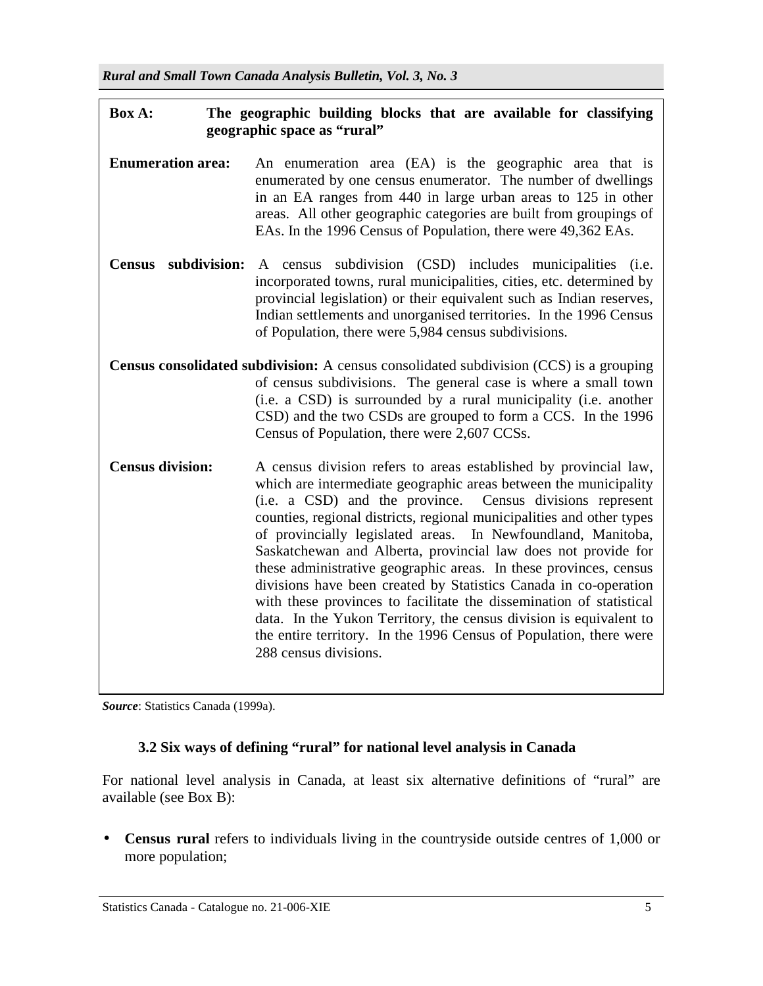# **Box A: The geographic building blocks that are available for classifying geographic space as "rural"**

- **Enumeration area:** An enumeration area (EA) is the geographic area that is enumerated by one census enumerator. The number of dwellings in an EA ranges from 440 in large urban areas to 125 in other areas. All other geographic categories are built from groupings of EAs. In the 1996 Census of Population, there were 49,362 EAs.
- **Census subdivision:** A census subdivision (CSD) includes municipalities (i.e. incorporated towns, rural municipalities, cities, etc. determined by provincial legislation) or their equivalent such as Indian reserves, Indian settlements and unorganised territories. In the 1996 Census of Population, there were 5,984 census subdivisions.

**Census consolidated subdivision:** A census consolidated subdivision (CCS) is a grouping of census subdivisions. The general case is where a small town (i.e. a CSD) is surrounded by a rural municipality (i.e. another CSD) and the two CSDs are grouped to form a CCS. In the 1996 Census of Population, there were 2,607 CCSs.

**Census division:** A census division refers to areas established by provincial law, which are intermediate geographic areas between the municipality (i.e. a CSD) and the province. Census divisions represent counties, regional districts, regional municipalities and other types of provincially legislated areas. In Newfoundland, Manitoba, Saskatchewan and Alberta, provincial law does not provide for these administrative geographic areas. In these provinces, census divisions have been created by Statistics Canada in co-operation with these provinces to facilitate the dissemination of statistical data. In the Yukon Territory, the census division is equivalent to the entire territory. In the 1996 Census of Population, there were 288 census divisions.

*Source*: Statistics Canada (1999a).

# **3.2 Six ways of defining "rural" for national level analysis in Canada**

For national level analysis in Canada, at least six alternative definitions of "rural" are available (see Box B):

• **Census rural** refers to individuals living in the countryside outside centres of 1,000 or more population;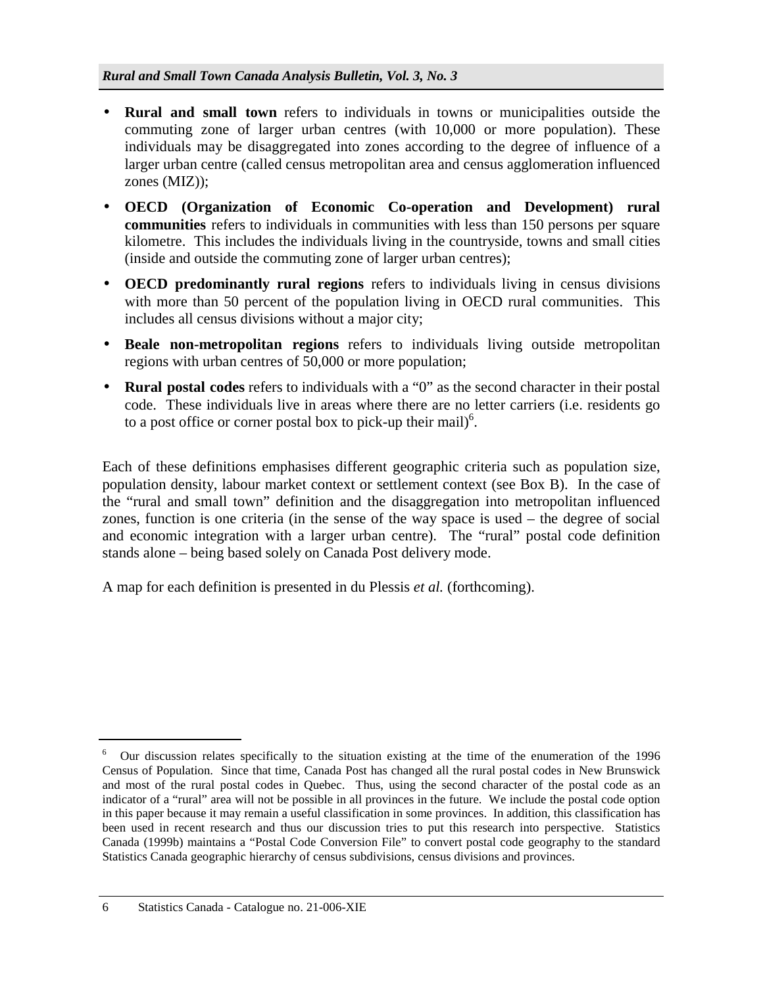- **Rural and small town** refers to individuals in towns or municipalities outside the commuting zone of larger urban centres (with 10,000 or more population). These individuals may be disaggregated into zones according to the degree of influence of a larger urban centre (called census metropolitan area and census agglomeration influenced zones (MIZ));
- **OECD (Organization of Economic Co-operation and Development) rural communities** refers to individuals in communities with less than 150 persons per square kilometre. This includes the individuals living in the countryside, towns and small cities (inside and outside the commuting zone of larger urban centres);
- **OECD predominantly rural regions** refers to individuals living in census divisions with more than 50 percent of the population living in OECD rural communities. This includes all census divisions without a major city;
- **Beale non-metropolitan regions** refers to individuals living outside metropolitan regions with urban centres of 50,000 or more population;
- **Rural postal codes** refers to individuals with a "0" as the second character in their postal code. These individuals live in areas where there are no letter carriers (i.e. residents go to a post office or corner postal box to pick-up their mail) $<sup>6</sup>$ .</sup>

Each of these definitions emphasises different geographic criteria such as population size, population density, labour market context or settlement context (see Box B). In the case of the "rural and small town" definition and the disaggregation into metropolitan influenced zones, function is one criteria (in the sense of the way space is used – the degree of social and economic integration with a larger urban centre). The "rural" postal code definition stands alone – being based solely on Canada Post delivery mode.

A map for each definition is presented in du Plessis *et al.* (forthcoming).

<sup>6</sup> Our discussion relates specifically to the situation existing at the time of the enumeration of the 1996 Census of Population. Since that time, Canada Post has changed all the rural postal codes in New Brunswick and most of the rural postal codes in Quebec. Thus, using the second character of the postal code as an indicator of a "rural" area will not be possible in all provinces in the future. We include the postal code option in this paper because it may remain a useful classification in some provinces. In addition, this classification has been used in recent research and thus our discussion tries to put this research into perspective. Statistics Canada (1999b) maintains a "Postal Code Conversion File" to convert postal code geography to the standard Statistics Canada geographic hierarchy of census subdivisions, census divisions and provinces.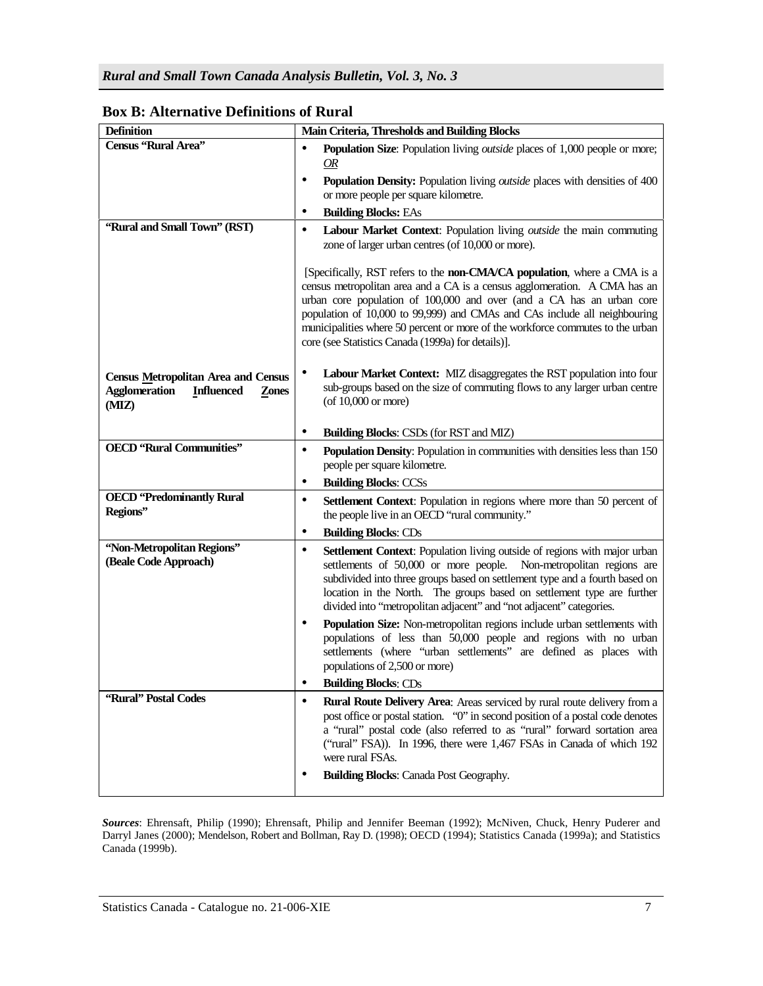| <b>Definition</b>                                                                                         | Main Criteria, Thresholds and Building Blocks                                                                                                                                                                                                                                                                                                                                                                                                       |  |  |  |  |  |
|-----------------------------------------------------------------------------------------------------------|-----------------------------------------------------------------------------------------------------------------------------------------------------------------------------------------------------------------------------------------------------------------------------------------------------------------------------------------------------------------------------------------------------------------------------------------------------|--|--|--|--|--|
| Census "Rural Area"                                                                                       | Population Size: Population living <i>outside</i> places of 1,000 people or more;<br>$\bullet$<br>OR<br>٠<br>Population Density: Population living outside places with densities of 400                                                                                                                                                                                                                                                             |  |  |  |  |  |
|                                                                                                           | or more people per square kilometre.                                                                                                                                                                                                                                                                                                                                                                                                                |  |  |  |  |  |
| "Rural and Small Town" (RST)                                                                              | <b>Building Blocks: EAs</b><br>٠                                                                                                                                                                                                                                                                                                                                                                                                                    |  |  |  |  |  |
|                                                                                                           | $\bullet$<br>Labour Market Context: Population living outside the main commuting<br>zone of larger urban centres (of 10,000 or more).                                                                                                                                                                                                                                                                                                               |  |  |  |  |  |
|                                                                                                           | [Specifically, RST refers to the non-CMA/CA population, where a CMA is a<br>census metropolitan area and a CA is a census agglomeration. A CMA has an<br>urban core population of 100,000 and over (and a CA has an urban core<br>population of 10,000 to 99,999) and CMAs and CAs include all neighbouring<br>municipalities where 50 percent or more of the workforce commutes to the urban<br>core (see Statistics Canada (1999a) for details)]. |  |  |  |  |  |
| <b>Census Metropolitan Area and Census</b><br><b>Agglomeration</b><br><b>Influenced</b><br>Zones<br>(MIZ) | Labour Market Context: MIZ disaggregates the RST population into four<br>٠<br>sub-groups based on the size of commuting flows to any larger urban centre<br>(of $10,000$ or more)                                                                                                                                                                                                                                                                   |  |  |  |  |  |
|                                                                                                           | <b>Building Blocks: CSDs (for RST and MIZ)</b><br>٠                                                                                                                                                                                                                                                                                                                                                                                                 |  |  |  |  |  |
| <b>OECD</b> "Rural Communities"                                                                           | ٠<br>Population Density: Population in communities with densities less than 150<br>people per square kilometre.                                                                                                                                                                                                                                                                                                                                     |  |  |  |  |  |
|                                                                                                           | ٠<br><b>Building Blocks: CCSs</b>                                                                                                                                                                                                                                                                                                                                                                                                                   |  |  |  |  |  |
| <b>OECD</b> 'Predominantly Rural<br>Regions"                                                              | ٠<br>Settlement Context: Population in regions where more than 50 percent of<br>the people live in an OECD "rural community."                                                                                                                                                                                                                                                                                                                       |  |  |  |  |  |
|                                                                                                           | ٠<br><b>Building Blocks: CDs</b>                                                                                                                                                                                                                                                                                                                                                                                                                    |  |  |  |  |  |
| "Non-Metropolitan Regions"<br>(Beale Code Approach)                                                       | Settlement Context: Population living outside of regions with major urban<br>٠<br>settlements of 50,000 or more people. Non-metropolitan regions are<br>subdivided into three groups based on settlement type and a fourth based on<br>location in the North. The groups based on settlement type are further<br>divided into "metropolitan adjacent" and "not adjacent" categories.                                                                |  |  |  |  |  |
|                                                                                                           | Population Size: Non-metropolitan regions include urban settlements with<br>٠<br>populations of less than 50,000 people and regions with no urban<br>settlements (where "urban settlements" are defined as places with<br>populations of 2,500 or more)                                                                                                                                                                                             |  |  |  |  |  |
|                                                                                                           | <b>Building Blocks: CDs</b>                                                                                                                                                                                                                                                                                                                                                                                                                         |  |  |  |  |  |
| "Rural" Postal Codes                                                                                      | $\bullet$<br>Rural Route Delivery Area: Areas serviced by rural route delivery from a<br>post office or postal station. "O" in second position of a postal code denotes<br>a "rural" postal code (also referred to as "rural" forward sortation area<br>("rural" FSA)). In 1996, there were 1,467 FSAs in Canada of which 192<br>were rural FSAs.<br>٠                                                                                              |  |  |  |  |  |
|                                                                                                           | <b>Building Blocks: Canada Post Geography.</b>                                                                                                                                                                                                                                                                                                                                                                                                      |  |  |  |  |  |

# **Box B: Alternative Definitions of Rural**

*Sources*: Ehrensaft, Philip (1990); Ehrensaft, Philip and Jennifer Beeman (1992); McNiven, Chuck, Henry Puderer and Darryl Janes (2000); Mendelson, Robert and Bollman, Ray D. (1998); OECD (1994); Statistics Canada (1999a); and Statistics Canada (1999b).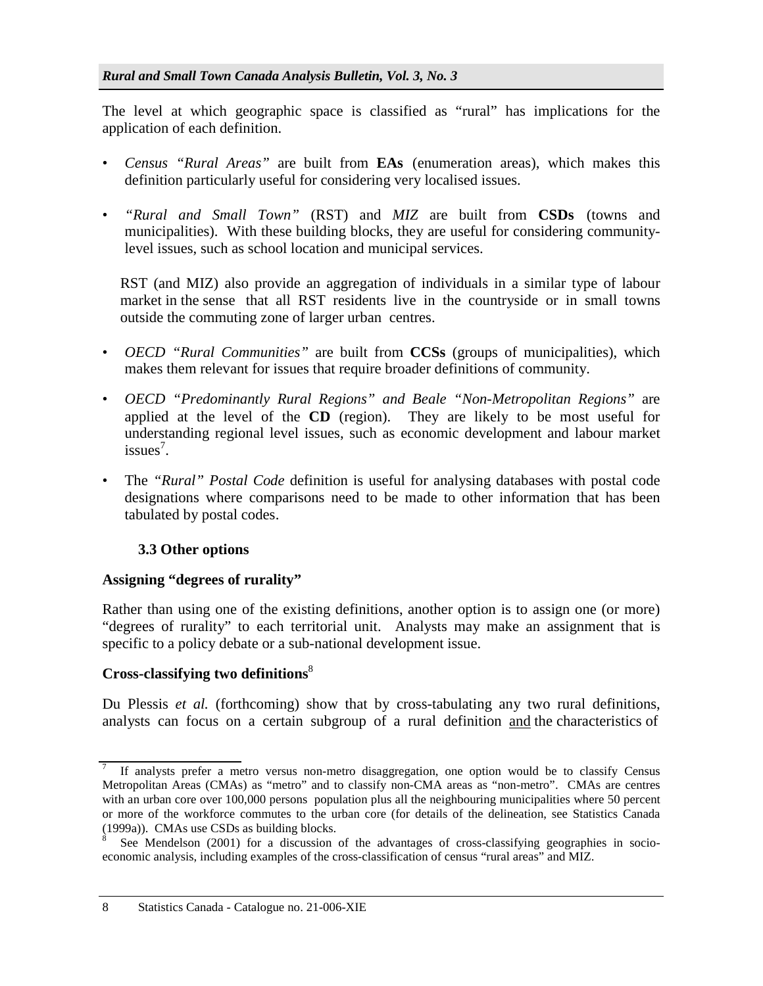The level at which geographic space is classified as "rural" has implications for the application of each definition.

- *Census "Rural Areas"* are built from **EAs** (enumeration areas), which makes this definition particularly useful for considering very localised issues.
- *"Rural and Small Town"* (RST) and *MIZ* are built from **CSDs** (towns and municipalities). With these building blocks, they are useful for considering communitylevel issues, such as school location and municipal services.

 RST (and MIZ) also provide an aggregation of individuals in a similar type of labour market in the sense that all RST residents live in the countryside or in small towns outside the commuting zone of larger urban centres.

- *OECD "Rural Communities"* are built from **CCSs** (groups of municipalities), which makes them relevant for issues that require broader definitions of community.
- *OECD "Predominantly Rural Regions" and Beale "Non-Metropolitan Regions"* are applied at the level of the **CD** (region). They are likely to be most useful for understanding regional level issues, such as economic development and labour market  $issues<sup>7</sup>$ .
- The *"Rural" Postal Code* definition is useful for analysing databases with postal code designations where comparisons need to be made to other information that has been tabulated by postal codes.

# **3.3 Other options**

# **Assigning "degrees of rurality"**

Rather than using one of the existing definitions, another option is to assign one (or more) "degrees of rurality" to each territorial unit. Analysts may make an assignment that is specific to a policy debate or a sub-national development issue.

# **Cross-classifying two definitions**<sup>8</sup>

Du Plessis *et al.* (forthcoming) show that by cross-tabulating any two rural definitions, analysts can focus on a certain subgroup of a rural definition and the characteristics of

<sup>7</sup> If analysts prefer a metro versus non-metro disaggregation, one option would be to classify Census Metropolitan Areas (CMAs) as "metro" and to classify non-CMA areas as "non-metro". CMAs are centres with an urban core over 100,000 persons population plus all the neighbouring municipalities where 50 percent or more of the workforce commutes to the urban core (for details of the delineation, see Statistics Canada (1999a)). CMAs use CSDs as building blocks.

<sup>8</sup> See Mendelson (2001) for a discussion of the advantages of cross-classifying geographies in socioeconomic analysis, including examples of the cross-classification of census "rural areas" and MIZ.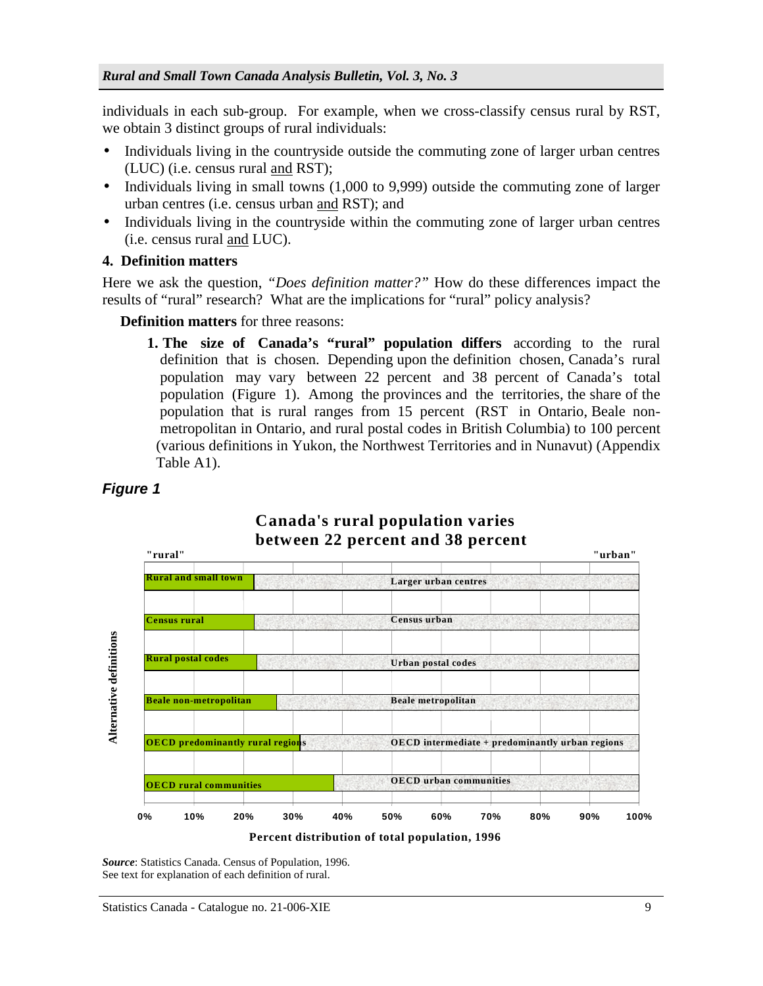individuals in each sub-group. For example, when we cross-classify census rural by RST, we obtain 3 distinct groups of rural individuals:

- Individuals living in the countryside outside the commuting zone of larger urban centres (LUC) (i.e. census rural and RST);
- Individuals living in small towns (1,000 to 9,999) outside the commuting zone of larger urban centres (i.e. census urban and RST); and
- Individuals living in the countryside within the commuting zone of larger urban centres (i.e. census rural and LUC).
- **4. Definition matters**

Here we ask the question, *"Does definition matter?"* How do these differences impact the results of "rural" research? What are the implications for "rural" policy analysis?

**Definition matters** for three reasons:

**1. The size of Canada's "rural" population differs** according to the rural definition that is chosen. Depending upon the definition chosen, Canada's rural population may vary between 22 percent and 38 percent of Canada's total population (Figure 1). Among the provinces and the territories, the share of the population that is rural ranges from 15 percent (RST in Ontario, Beale non metropolitan in Ontario, and rural postal codes in British Columbia) to 100 percent (various definitions in Yukon, the Northwest Territories and in Nunavut) (Appendix Table A1).



**Canada's rural population varies**

# *Figure 1*

**Percent distribution of total population, 1996**

*Source*: Statistics Canada. Census of Population, 1996. See text for explanation of each definition of rural.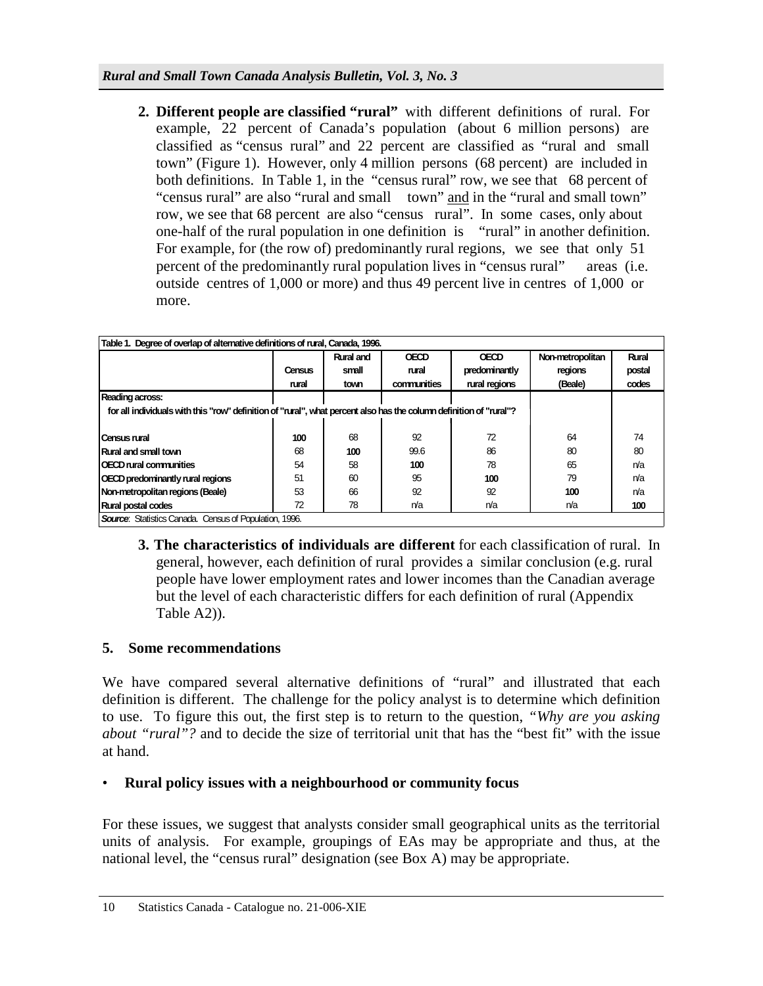**2. Different people are classified "rural"** with different definitions of rural. For example, 22 percent of Canada's population (about 6 million persons) are classified as "census rural" and 22 percent are classified as "rural and small town" (Figure 1). However, only 4 million persons (68 percent) are included in both definitions. In Table 1, in the "census rural" row, we see that 68 percent of "census rural" are also "rural and small town" and in the "rural and small town" row, we see that 68 percent are also "census rural". In some cases, only about one-half of the rural population in one definition is "rural" in another definition. For example, for (the row of) predominantly rural regions, we see that only 51 percent of the predominantly rural population lives in "census rural" areas (i.e. outside centres of 1,000 or more) and thus 49 percent live in centres of 1,000 or more.

| Table 1. Degree of overlap of alternative definitions of rural, Canada, 1996.                                      |        |           |             |               |                  |        |  |
|--------------------------------------------------------------------------------------------------------------------|--------|-----------|-------------|---------------|------------------|--------|--|
|                                                                                                                    |        | Rural and | <b>OECD</b> | <b>OECD</b>   | Non-metropolitan | Rural  |  |
|                                                                                                                    | Census | small     | rural       | predominantly | regions          | postal |  |
|                                                                                                                    | rural  | town      | communities | rural regions | (Beale)          | codes  |  |
| Reading across:                                                                                                    |        |           |             |               |                  |        |  |
| for all individuals with this "row" definition of "rural", what percent also has the column definition of "rural"? |        |           |             |               |                  |        |  |
|                                                                                                                    |        |           |             |               |                  |        |  |
| Census rural                                                                                                       | 100    | 68        | 92          | 72            | 64               | 74     |  |
| Rural and small town                                                                                               | 68     | 100       | 99.6        | 86            | 80               | 80     |  |
| OECD rural communities                                                                                             | 54     | 58        | 100         | 78            | 65               | n/a    |  |
| OECD predominantly rural regions                                                                                   | 51     | 60        | 95          | 100           | 79               | n/a    |  |
| Non-metropolitan regions (Beale)                                                                                   | 53     | 66        | 92          | 92            | 100              | n/a    |  |
| Rural postal codes                                                                                                 | 72     | 78        | n/a         | n/a           | n/a              | 100    |  |
| <b>Source:</b> Statistics Canada. Census of Population. 1996.                                                      |        |           |             |               |                  |        |  |

 **3. The characteristics of individuals are different** for each classification of rural. In general, however, each definition of rural provides a similar conclusion (e.g. rural people have lower employment rates and lower incomes than the Canadian average but the level of each characteristic differs for each definition of rural (Appendix Table A2)).

# **5. Some recommendations**

We have compared several alternative definitions of "rural" and illustrated that each definition is different. The challenge for the policy analyst is to determine which definition to use. To figure this out, the first step is to return to the question, *"Why are you asking about "rural"?* and to decide the size of territorial unit that has the "best fit" with the issue at hand.

## • **Rural policy issues with a neighbourhood or community focus**

For these issues, we suggest that analysts consider small geographical units as the territorial units of analysis. For example, groupings of EAs may be appropriate and thus, at the national level, the "census rural" designation (see Box A) may be appropriate.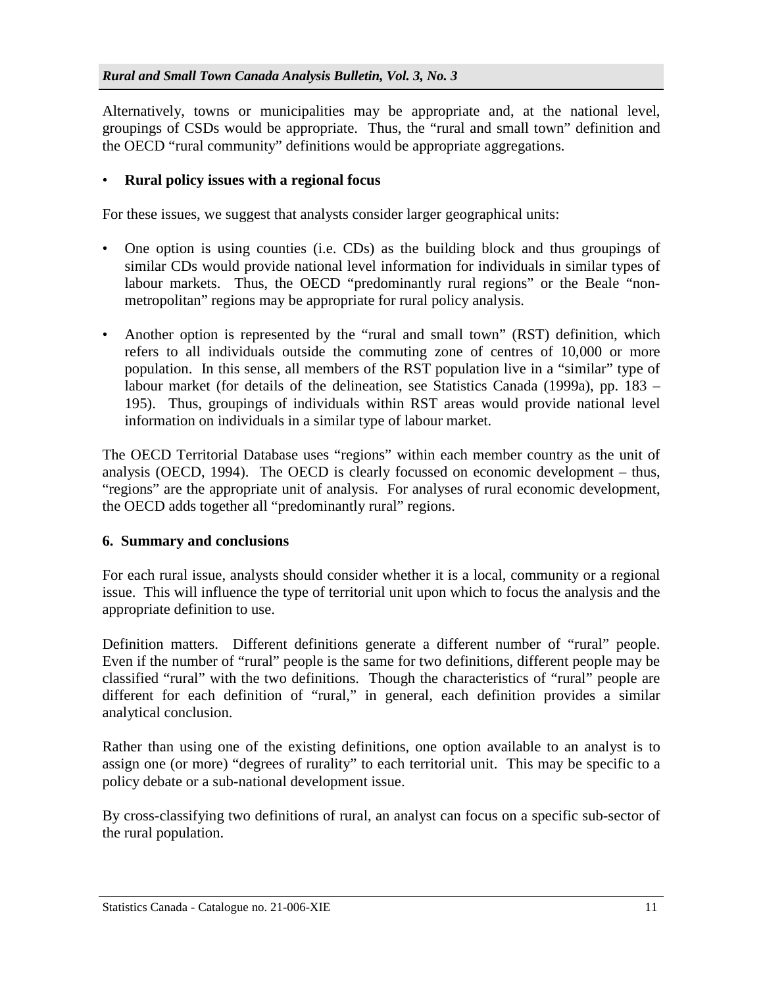Alternatively, towns or municipalities may be appropriate and, at the national level, groupings of CSDs would be appropriate. Thus, the "rural and small town" definition and the OECD "rural community" definitions would be appropriate aggregations.

# • **Rural policy issues with a regional focus**

For these issues, we suggest that analysts consider larger geographical units:

- One option is using counties (i.e. CDs) as the building block and thus groupings of similar CDs would provide national level information for individuals in similar types of labour markets. Thus, the OECD "predominantly rural regions" or the Beale "nonmetropolitan" regions may be appropriate for rural policy analysis.
- Another option is represented by the "rural and small town" (RST) definition, which refers to all individuals outside the commuting zone of centres of 10,000 or more population. In this sense, all members of the RST population live in a "similar" type of labour market (for details of the delineation, see Statistics Canada (1999a), pp. 183 – 195). Thus, groupings of individuals within RST areas would provide national level information on individuals in a similar type of labour market.

The OECD Territorial Database uses "regions" within each member country as the unit of analysis (OECD, 1994). The OECD is clearly focussed on economic development – thus, "regions" are the appropriate unit of analysis. For analyses of rural economic development, the OECD adds together all "predominantly rural" regions.

## **6. Summary and conclusions**

For each rural issue, analysts should consider whether it is a local, community or a regional issue. This will influence the type of territorial unit upon which to focus the analysis and the appropriate definition to use.

Definition matters. Different definitions generate a different number of "rural" people. Even if the number of "rural" people is the same for two definitions, different people may be classified "rural" with the two definitions. Though the characteristics of "rural" people are different for each definition of "rural," in general, each definition provides a similar analytical conclusion.

Rather than using one of the existing definitions, one option available to an analyst is to assign one (or more) "degrees of rurality" to each territorial unit. This may be specific to a policy debate or a sub-national development issue.

By cross-classifying two definitions of rural, an analyst can focus on a specific sub-sector of the rural population.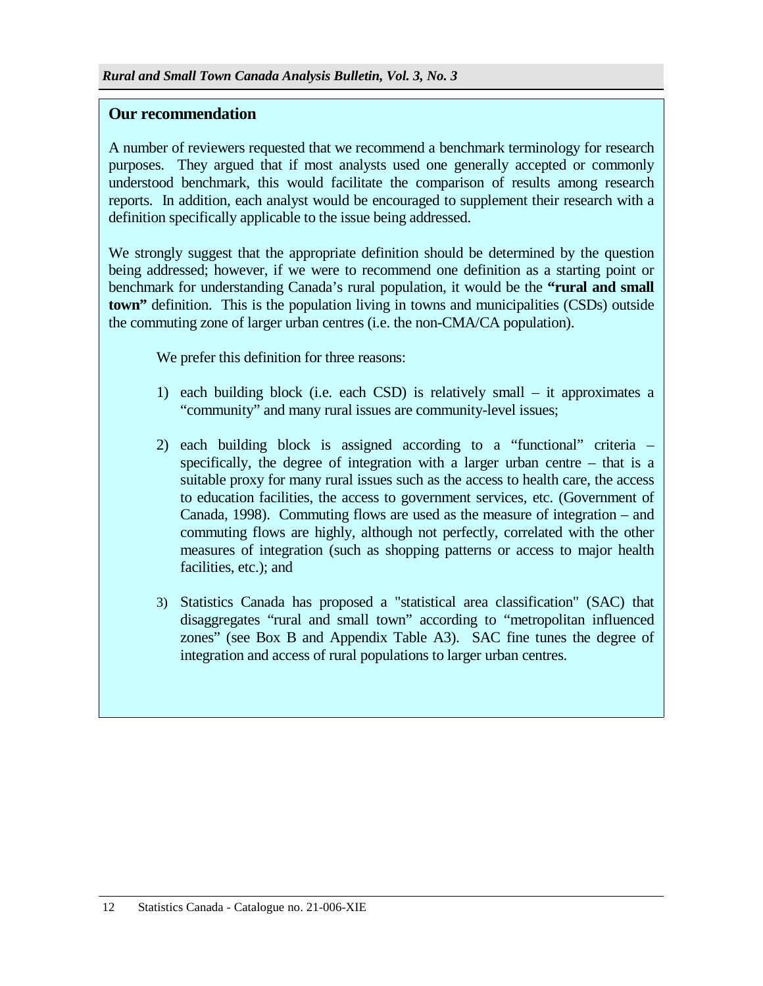## **Our recommendation**

A number of reviewers requested that we recommend a benchmark terminology for research purposes. They argued that if most analysts used one generally accepted or commonly understood benchmark, this would facilitate the comparison of results among research reports. In addition, each analyst would be encouraged to supplement their research with a definition specifically applicable to the issue being addressed.

We strongly suggest that the appropriate definition should be determined by the question being addressed; however, if we were to recommend one definition as a starting point or benchmark for understanding Canada's rural population, it would be the **"rural and small town"** definition. This is the population living in towns and municipalities (CSDs) outside the commuting zone of larger urban centres (i.e. the non-CMA/CA population).

We prefer this definition for three reasons:

- 1) each building block (i.e. each CSD) is relatively small it approximates a "community" and many rural issues are community-level issues;
- 2) each building block is assigned according to a "functional" criteria specifically, the degree of integration with a larger urban centre – that is a suitable proxy for many rural issues such as the access to health care, the access to education facilities, the access to government services, etc. (Government of Canada, 1998). Commuting flows are used as the measure of integration – and commuting flows are highly, although not perfectly, correlated with the other measures of integration (such as shopping patterns or access to major health facilities, etc.); and
- 3) Statistics Canada has proposed a "statistical area classification" (SAC) that disaggregates "rural and small town" according to "metropolitan influenced zones" (see Box B and Appendix Table A3). SAC fine tunes the degree of integration and access of rural populations to larger urban centres.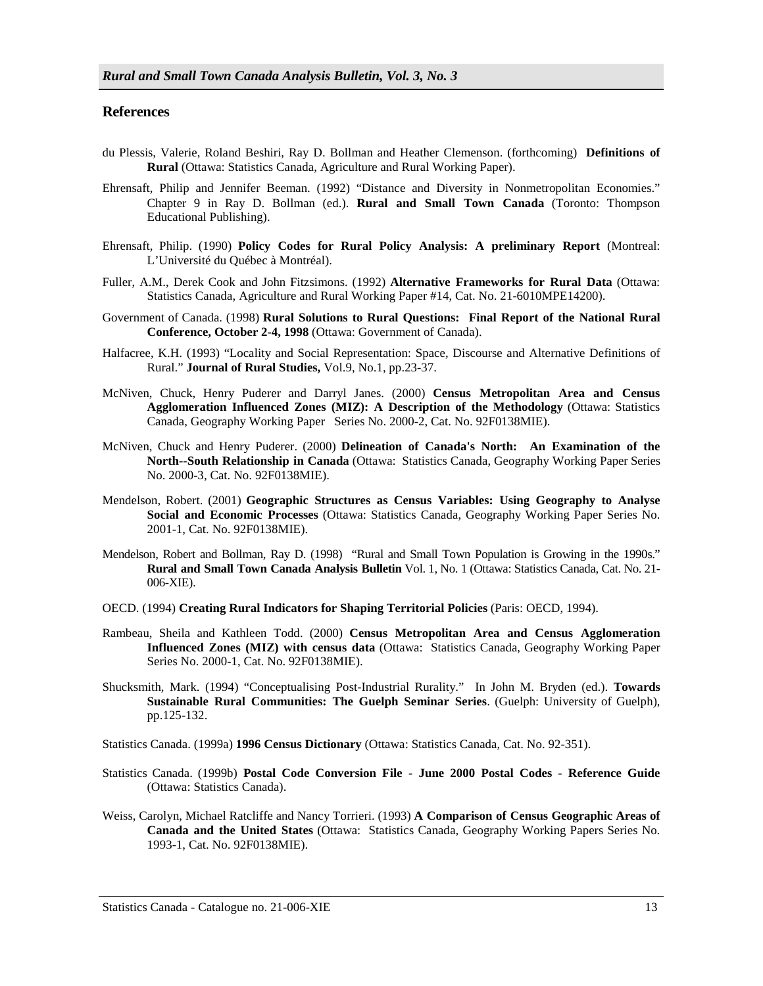#### **References**

- du Plessis, Valerie, Roland Beshiri, Ray D. Bollman and Heather Clemenson. (forthcoming) **Definitions of Rural** (Ottawa: Statistics Canada, Agriculture and Rural Working Paper).
- Ehrensaft, Philip and Jennifer Beeman. (1992) "Distance and Diversity in Nonmetropolitan Economies." Chapter 9 in Ray D. Bollman (ed.). **Rural and Small Town Canada** (Toronto: Thompson Educational Publishing).
- Ehrensaft, Philip. (1990) **Policy Codes for Rural Policy Analysis: A preliminary Report** (Montreal: L'Université du Québec à Montréal).
- Fuller, A.M., Derek Cook and John Fitzsimons. (1992) **Alternative Frameworks for Rural Data** (Ottawa: Statistics Canada, Agriculture and Rural Working Paper #14, Cat. No. 21-6010MPE14200).
- Government of Canada. (1998) **Rural Solutions to Rural Questions: Final Report of the National Rural Conference, October 2-4, 1998** (Ottawa: Government of Canada).
- Halfacree, K.H. (1993) "Locality and Social Representation: Space, Discourse and Alternative Definitions of Rural." **Journal of Rural Studies,** Vol.9, No.1, pp.23-37.
- McNiven, Chuck, Henry Puderer and Darryl Janes. (2000) **Census Metropolitan Area and Census Agglomeration Influenced Zones (MIZ): A Description of the Methodology** (Ottawa: Statistics Canada, Geography Working Paper Series No. 2000-2, Cat. No. 92F0138MIE).
- McNiven, Chuck and Henry Puderer. (2000) **Delineation of Canada's North: An Examination of the North--South Relationship in Canada** (Ottawa: Statistics Canada, Geography Working Paper Series No. 2000-3, Cat. No. 92F0138MIE).
- Mendelson, Robert. (2001) **Geographic Structures as Census Variables: Using Geography to Analyse Social and Economic Processes** (Ottawa: Statistics Canada, Geography Working Paper Series No. 2001-1, Cat. No. 92F0138MIE).
- Mendelson, Robert and Bollman, Ray D. (1998) "Rural and Small Town Population is Growing in the 1990s." **Rural and Small Town Canada Analysis Bulletin** Vol. 1, No. 1 (Ottawa: Statistics Canada, Cat. No. 21- 006-XIE).
- OECD. (1994) **Creating Rural Indicators for Shaping Territorial Policies** (Paris: OECD, 1994).
- Rambeau, Sheila and Kathleen Todd. (2000) **Census Metropolitan Area and Census Agglomeration Influenced Zones (MIZ) with census data** (Ottawa: Statistics Canada, Geography Working Paper Series No. 2000-1, Cat. No. 92F0138MIE).
- Shucksmith, Mark. (1994) "Conceptualising Post-Industrial Rurality." In John M. Bryden (ed.). **Towards Sustainable Rural Communities: The Guelph Seminar Series**. (Guelph: University of Guelph), pp.125-132.
- Statistics Canada. (1999a) **1996 Census Dictionary** (Ottawa: Statistics Canada, Cat. No. 92-351).
- Statistics Canada. (1999b) **Postal Code Conversion File June 2000 Postal Codes Reference Guide** (Ottawa: Statistics Canada).
- Weiss, Carolyn, Michael Ratcliffe and Nancy Torrieri. (1993) **A Comparison of Census Geographic Areas of Canada and the United States** (Ottawa: Statistics Canada, Geography Working Papers Series No. 1993-1, Cat. No. 92F0138MIE).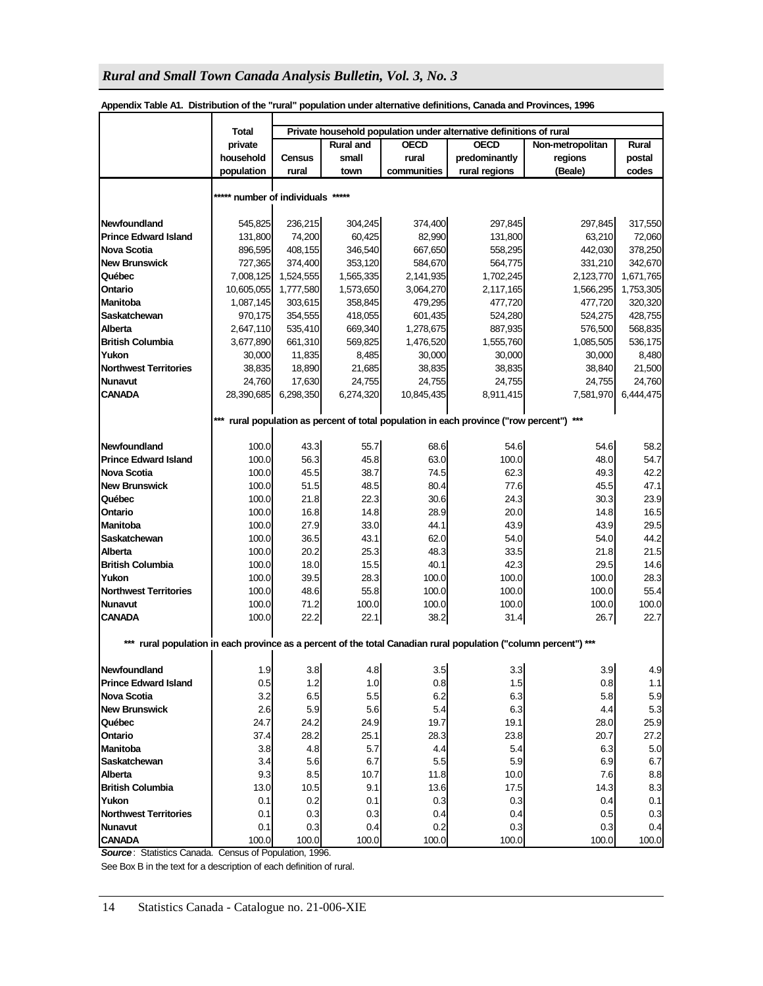|                                       | Total                                                                                | Private household population under alternative definitions of rural |                                                |             |                                                                                                              |            |              |  |  |
|---------------------------------------|--------------------------------------------------------------------------------------|---------------------------------------------------------------------|------------------------------------------------|-------------|--------------------------------------------------------------------------------------------------------------|------------|--------------|--|--|
|                                       | private                                                                              |                                                                     | <b>OECD</b><br><b>OECD</b><br><b>Rural and</b> |             | Non-metropolitan                                                                                             | Rural      |              |  |  |
|                                       | household                                                                            | <b>Census</b>                                                       | small                                          | rural       | predominantly                                                                                                | regions    | postal       |  |  |
|                                       | population                                                                           | rural                                                               | town                                           | communities | rural regions                                                                                                | (Beale)    | codes        |  |  |
|                                       | ***** number of individuals *****                                                    |                                                                     |                                                |             |                                                                                                              |            |              |  |  |
|                                       |                                                                                      |                                                                     |                                                |             |                                                                                                              |            |              |  |  |
| Newfoundland                          | 545,825                                                                              | 236,215                                                             | 304,245                                        | 374,400     | 297,845                                                                                                      | 297,845    | 317,550      |  |  |
| <b>Prince Edward Island</b>           | 131,800                                                                              | 74,200                                                              | 60,425                                         | 82,990      | 131,800                                                                                                      | 63,210     | 72,060       |  |  |
| <b>Nova Scotia</b>                    | 896,595                                                                              | 408,155                                                             | 346,540                                        | 667,650     | 558,295                                                                                                      | 442,030    | 378,250      |  |  |
| New Brunswick                         | 727,365                                                                              | 374,400                                                             | 353,120                                        | 584,670     | 564,775                                                                                                      | 331,210    | 342,670      |  |  |
| Québec                                | 7,008,125                                                                            | 1,524,555                                                           | 1,565,335                                      | 2,141,935   | 1,702,245                                                                                                    | 2,123,770  | 1,671,765    |  |  |
| Ontario                               | 10,605,055                                                                           | 1,777,580                                                           | 1,573,650                                      | 3,064,270   | 2,117,165                                                                                                    | 1,566,295  | 1,753,305    |  |  |
| Manitoba                              | 1,087,145                                                                            | 303,615                                                             | 358,845                                        | 479,295     | 477,720                                                                                                      | 477,720    | 320,320      |  |  |
| Saskatchewan                          | 970,175                                                                              | 354,555                                                             | 418,055                                        | 601,435     | 524,280                                                                                                      | 524,275    | 428,755      |  |  |
| Alberta                               | 2,647,110                                                                            | 535,410                                                             | 669,340                                        | 1,278,675   | 887,935                                                                                                      | 576,500    | 568,835      |  |  |
| <b>British Columbia</b>               | 3,677,890                                                                            | 661,310                                                             | 569,825                                        | 1,476,520   | 1,555,760                                                                                                    | 1,085,505  | 536,175      |  |  |
| Yukon                                 | 30,000                                                                               | 11,835                                                              | 8,485                                          | 30,000      | 30,000                                                                                                       | 30,000     | 8,480        |  |  |
| <b>Northwest Territories</b>          | 38,835                                                                               | 18,890                                                              | 21,685                                         | 38,835      | 38,835                                                                                                       | 38,840     | 21,500       |  |  |
| <b>Nunavut</b>                        | 24,760                                                                               | 17,630                                                              | 24,755                                         | 24,755      | 24,755                                                                                                       | 24,755     | 24,760       |  |  |
| <b>CANADA</b>                         | 28,390,685                                                                           | 6,298,350                                                           | 6,274,320                                      | 10,845,435  | 8,911,415                                                                                                    | 7,581,970  | 6,444,475    |  |  |
|                                       |                                                                                      |                                                                     |                                                |             |                                                                                                              |            |              |  |  |
|                                       | *** rural population as percent of total population in each province ("row percent") |                                                                     |                                                |             |                                                                                                              |            |              |  |  |
| Newfoundland                          | 100.0                                                                                | 43.3                                                                | 55.7                                           | 68.6        | 54.6                                                                                                         | 54.6       | 58.2         |  |  |
| <b>Prince Edward Island</b>           | 100.0                                                                                | 56.3                                                                | 45.8                                           | 63.0        | 100.0                                                                                                        | 48.0       | 54.7         |  |  |
| Nova Scotia                           | 100.0                                                                                | 45.5                                                                | 38.7                                           | 74.5        | 62.3                                                                                                         | 49.3       | 42.2         |  |  |
| <b>New Brunswick</b>                  | 100.0                                                                                | 51.5                                                                | 48.5                                           | 80.4        | 77.6                                                                                                         | 45.5       | 47.1         |  |  |
| Québec                                | 100.0                                                                                | 21.8                                                                | 22.3                                           | 30.6        | 24.3                                                                                                         | 30.3       | 23.9         |  |  |
| Ontario                               | 100.0                                                                                | 16.8                                                                | 14.8                                           | 28.9        | 20.0                                                                                                         | 14.8       | 16.5         |  |  |
| Manitoba                              | 100.0                                                                                | 27.9                                                                | 33.0                                           | 44.1        | 43.9                                                                                                         | 43.9       | 29.5         |  |  |
| Saskatchewan                          | 100.0                                                                                | 36.5                                                                | 43.1                                           | 62.0        | 54.0                                                                                                         | 54.0       | 44.2         |  |  |
| Alberta                               | 100.0                                                                                | 20.2                                                                | 25.3                                           | 48.3        | 33.5                                                                                                         | 21.8       | 21.5         |  |  |
| <b>British Columbia</b>               | 100.0                                                                                | 18.0                                                                | 15.5                                           | 40.1        | 42.3                                                                                                         | 29.5       | 14.6         |  |  |
| Yukon                                 | 100.0                                                                                | 39.5                                                                | 28.3                                           | 100.0       | 100.0                                                                                                        | 100.0      | 28.3         |  |  |
| <b>Northwest Territories</b>          | 100.0                                                                                | 48.6                                                                | 55.8                                           | 100.0       | 100.0                                                                                                        | 100.0      | 55.4         |  |  |
| <b>Nunavut</b>                        | 100.0                                                                                | 71.2                                                                | 100.0                                          | 100.0       | 100.0                                                                                                        | 100.0      | 100.0        |  |  |
| <b>CANADA</b>                         | 100.0                                                                                | 22.2                                                                | 22.1                                           | 38.2        | 31.4                                                                                                         | 26.7       | 22.7         |  |  |
| ***                                   |                                                                                      |                                                                     |                                                |             | rural population in each province as a percent of the total Canadian rural population ("column percent") *** |            |              |  |  |
|                                       |                                                                                      |                                                                     |                                                |             |                                                                                                              |            |              |  |  |
| Newfoundland                          | 1.9                                                                                  | 3.8                                                                 | 4.8                                            | 3.5         | 3.3                                                                                                          | 3.9        | 4.9          |  |  |
| <b>Prince Edward Island</b>           | 0.5                                                                                  | 1.2                                                                 | 1.0                                            | 0.8         | 1.5                                                                                                          | 0.8        | 1.1          |  |  |
| Nova Scotia                           | 3.2                                                                                  | 6.5                                                                 | 5.5                                            | 6.2         | 6.3                                                                                                          | 5.8        | 5.9          |  |  |
| New Brunswick                         | 2.6                                                                                  | 5.9                                                                 | 5.6                                            | 5.4         | 6.3                                                                                                          | 4.4        | 5.3          |  |  |
| Québec                                | 24.7                                                                                 | 24.2                                                                | 24.9                                           | 19.7        | 19.1                                                                                                         | 28.0       | 25.9         |  |  |
| Ontario                               | 37.4                                                                                 | 28.2                                                                | 25.1                                           | 28.3        | 23.8                                                                                                         | 20.7       | 27.2         |  |  |
| Manitoba                              | 3.8                                                                                  | 4.8                                                                 | 5.7                                            | 4.4         | 5.4                                                                                                          | 6.3        | 5.0          |  |  |
| Saskatchewan                          | 3.4                                                                                  | 5.6                                                                 | 6.7                                            | 5.5         | 5.9                                                                                                          | 6.9        | 6.7          |  |  |
| Alberta<br><b>British Columbia</b>    | 9.3                                                                                  | 8.5                                                                 | 10.7                                           | 11.8        | 10.0                                                                                                         | 7.6        | 8.8          |  |  |
|                                       | 13.0                                                                                 | 10.5                                                                | 9.1<br>0.1                                     | 13.6        | 17.5                                                                                                         | 14.3       | 8.3          |  |  |
| Yukon<br><b>Northwest Territories</b> | 0.1<br>0.1                                                                           | 0.2                                                                 | 0.3                                            | 0.3<br>0.4  | 0.3<br>0.4                                                                                                   | 0.4<br>0.5 | 0.1<br>0.3   |  |  |
|                                       |                                                                                      | 0.3                                                                 |                                                | 0.2         |                                                                                                              | 0.3        |              |  |  |
| <b>Nunavut</b><br><b>CANADA</b>       | 0.1<br>100.0                                                                         | 0.3<br>100.0                                                        | 0.4<br>100.0                                   | 100.0       | 0.3<br>100.0                                                                                                 | 100.0      | 0.4<br>100.0 |  |  |
|                                       |                                                                                      |                                                                     |                                                |             |                                                                                                              |            |              |  |  |

**Appendix Table A1. Distribution of the "rural" population under alternative definitions, Canada and Provinces, 1996**

*Source*: Statistics Canada. Census of Population, 1996.

See Box B in the text for a description of each definition of rural.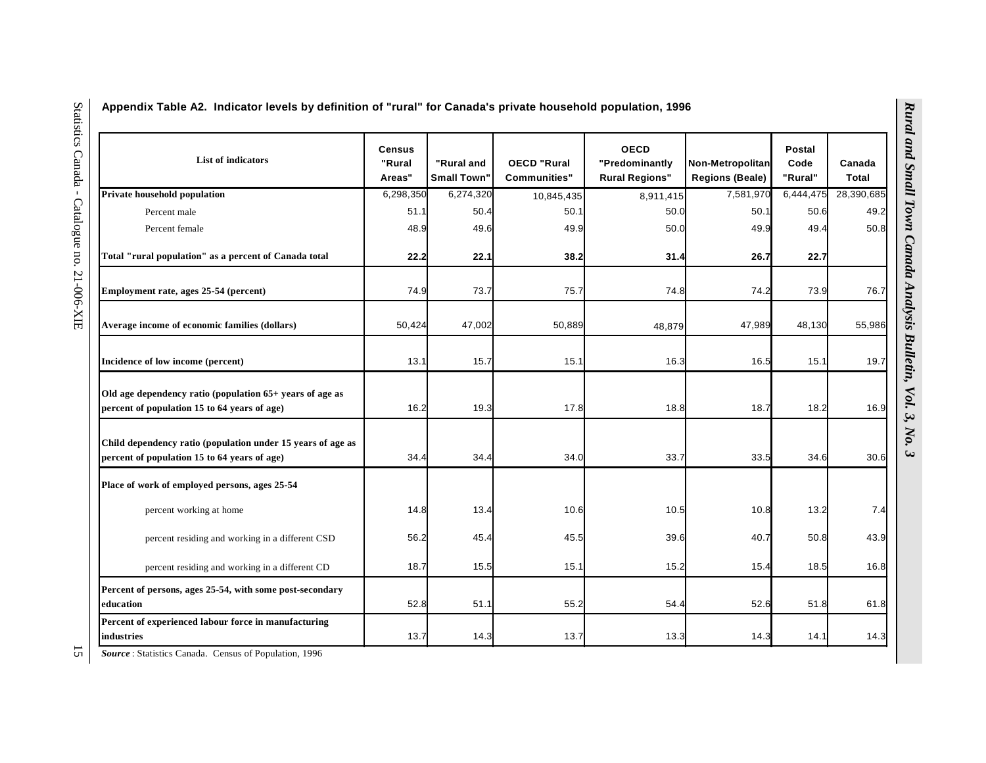| <b>List of indicators</b>                                                                                   | <b>Census</b><br>"Rural<br>Areas" | "Rural and<br><b>Small Town"</b> | <b>OECD "Rural</b><br>Communities" | <b>OECD</b><br>"Predominantly<br><b>Rural Regions"</b> | Non-Metropolitan<br><b>Regions (Beale)</b> | <b>Postal</b><br>Code<br>"Rural" | Canada<br>Total |
|-------------------------------------------------------------------------------------------------------------|-----------------------------------|----------------------------------|------------------------------------|--------------------------------------------------------|--------------------------------------------|----------------------------------|-----------------|
| Private household population                                                                                | 6,298,350                         | 6,274,320                        | 10,845,435                         | 8,911,415                                              | 7,581,970                                  | 6,444,475                        | 28,390,685      |
| Percent male                                                                                                | 51.1                              | 50.4                             | 50.1                               | 50.0                                                   | 50.1                                       | 50.6                             | 49.2            |
| Percent female                                                                                              | 48.9                              | 49.6                             | 49.9                               | 50.0                                                   | 49.9                                       | 49.4                             | 50.8            |
| Total "rural population" as a percent of Canada total                                                       | 22.2                              | 22.1                             | 38.2                               | 31.4                                                   | 26.7                                       | 22.7                             |                 |
| Employment rate, ages 25-54 (percent)                                                                       | 74.9                              | 73.7                             | 75.7                               | 74.8                                                   | 74.2                                       | 73.9                             | 76.7            |
| Average income of economic families (dollars)                                                               | 50,424                            | 47,002                           | 50,889                             | 48,879                                                 | 47,989                                     | 48,130                           | 55,986          |
| Incidence of low income (percent)                                                                           | 13.1                              | 15.7                             | 15.1                               | 16.3                                                   | 16.5                                       | 15.1                             | 19.7            |
| Old age dependency ratio (population 65+ years of age as<br>percent of population 15 to 64 years of age)    | 16.2                              | 19.3                             | 17.8                               | 18.8                                                   | 18.7                                       | 18.2                             | 16.9            |
| Child dependency ratio (population under 15 years of age as<br>percent of population 15 to 64 years of age) | 34.4                              | 34.4                             | 34.0                               | 33.7                                                   | 33.5                                       | 34.6                             | 30.6            |
| Place of work of employed persons, ages 25-54                                                               |                                   |                                  |                                    |                                                        |                                            |                                  |                 |
| percent working at home                                                                                     | 14.8                              | 13.4                             | 10.6                               | 10.5                                                   | 10.8                                       | 13.2                             | 7.4             |
| percent residing and working in a different CSD                                                             | 56.2                              | 45.4                             | 45.5                               | 39.6                                                   | 40.7                                       | 50.8                             | 43.9            |
| percent residing and working in a different CD                                                              | 18.7                              | 15.5                             | 15.1                               | 15.2                                                   | 15.4                                       | 18.5                             | 16.8            |
| Percent of persons, ages 25-54, with some post-secondary<br>education                                       | 52.8                              | 51.1                             | 55.2                               | 54.4                                                   | 52.6                                       | 51.8                             | 61.8            |
| Percent of experienced labour force in manufacturing<br>industries                                          | 13.7                              | 14.3                             | 13.7                               | 13.3                                                   | 14.3                                       | 14.1                             | 14.3            |

 $\overline{\mathbf{c}}$ *Source* : Statistics Canada. Census of Population, 1996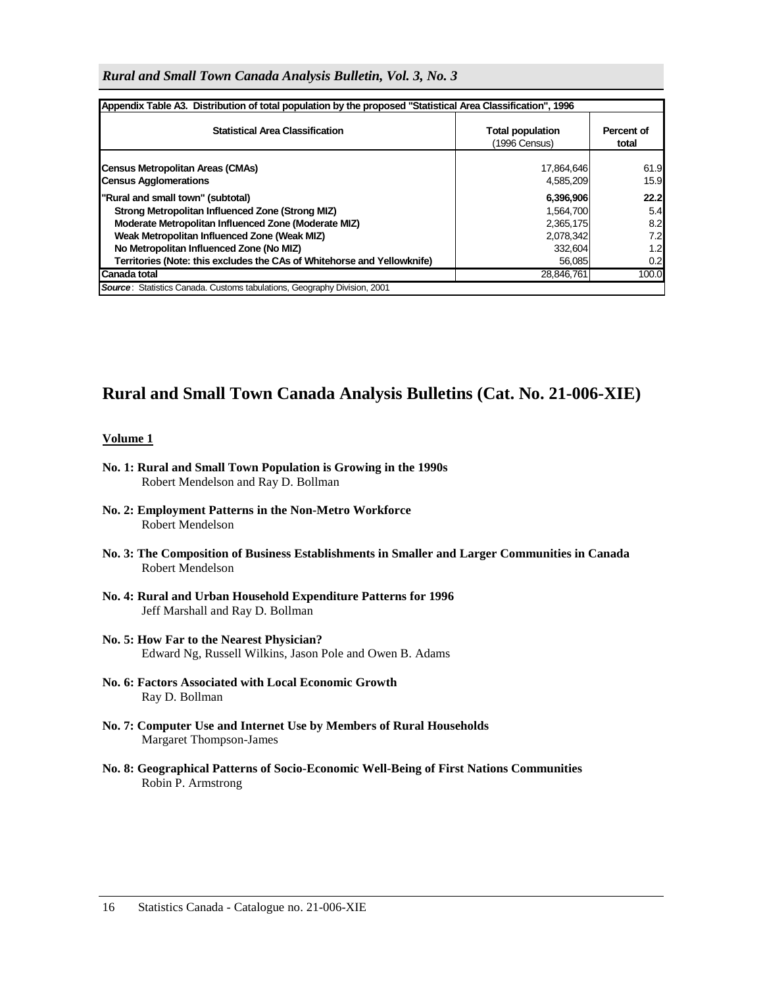| Appendix Table A3. Distribution of total population by the proposed "Statistical Area Classification", 1996 |                                          |                     |
|-------------------------------------------------------------------------------------------------------------|------------------------------------------|---------------------|
| <b>Statistical Area Classification</b>                                                                      | <b>Total population</b><br>(1996 Census) | Percent of<br>total |
| <b>Census Metropolitan Areas (CMAs)</b><br><b>Census Agglomerations</b>                                     | 17,864,646<br>4,585,209                  | 61.9<br>15.9        |
| "Rural and small town" (subtotal)                                                                           | 6,396,906                                | 22.2                |
| Strong Metropolitan Influenced Zone (Strong MIZ)                                                            | 1,564,700                                | 5.4                 |
| Moderate Metropolitan Influenced Zone (Moderate MIZ)                                                        | 2,365,175                                | 8.2                 |
| Weak Metropolitan Influenced Zone (Weak MIZ)                                                                | 2,078,342                                | 7.2                 |
| No Metropolitan Influenced Zone (No MIZ)                                                                    | 332,604                                  | 1.2                 |
| Territories (Note: this excludes the CAs of Whitehorse and Yellowknife)                                     | 56,085                                   | 0.2                 |
| Canada total                                                                                                | 28,846,761                               | 100.0               |
| <b>Source:</b> Statistics Canada. Customs tabulations, Geography Division, 2001                             |                                          |                     |

*Rural and Small Town Canada Analysis Bulletin, Vol. 3, No. 3* 

# **Rural and Small Town Canada Analysis Bulletins (Cat. No. 21-006-XIE)**

#### **Volume 1**

- **No. 1: Rural and Small Town Population is Growing in the 1990s**  Robert Mendelson and Ray D. Bollman
- **No. 2: Employment Patterns in the Non-Metro Workforce**  Robert Mendelson
- **No. 3: The Composition of Business Establishments in Smaller and Larger Communities in Canada**  Robert Mendelson
- **No. 4: Rural and Urban Household Expenditure Patterns for 1996**  Jeff Marshall and Ray D. Bollman
- **No. 5: How Far to the Nearest Physician?**  Edward Ng, Russell Wilkins, Jason Pole and Owen B. Adams
- **No. 6: Factors Associated with Local Economic Growth**  Ray D. Bollman
- **No. 7: Computer Use and Internet Use by Members of Rural Households**  Margaret Thompson-James
- **No. 8: Geographical Patterns of Socio-Economic Well-Being of First Nations Communities**  Robin P. Armstrong